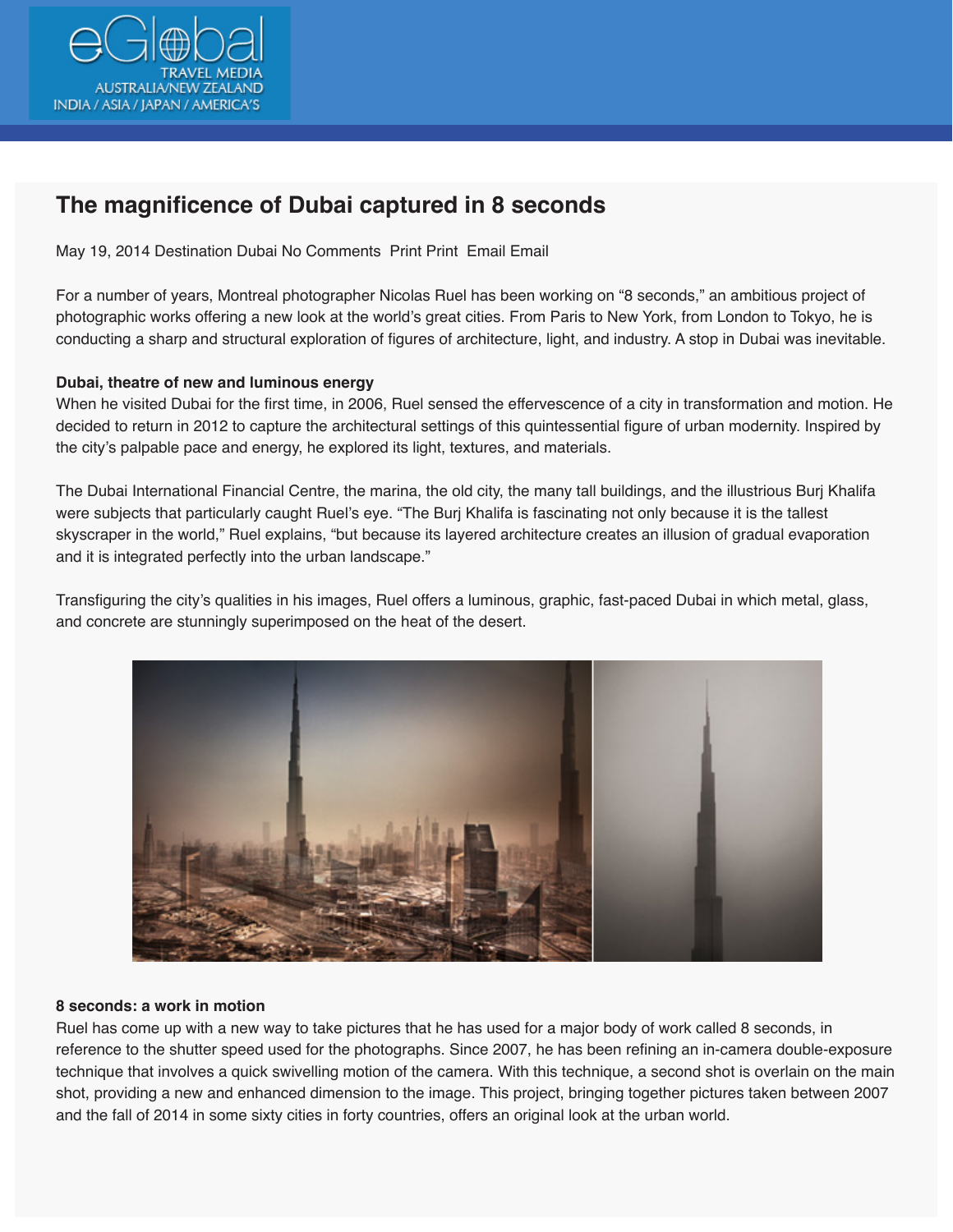

## **The magnificence of Dubai captured in 8 seconds**

May 19, 2014 Destination Dubai No Comments Print Print Email Email

For a number of years, Montreal photographer Nicolas Ruel has been working on "8 seconds," an ambitious project of photographic works offering a new look at the world's great cities. From Paris to New York, from London to Tokyo, he is conducting a sharp and structural exploration of figures of architecture, light, and industry. A stop in Dubai was inevitable.

## **Dubai, theatre of new and luminous energy**

When he visited Dubai for the first time, in 2006, Ruel sensed the effervescence of a city in transformation and motion. He decided to return in 2012 to capture the architectural settings of this quintessential figure of urban modernity. Inspired by the city's palpable pace and energy, he explored its light, textures, and materials.

The Dubai International Financial Centre, the marina, the old city, the many tall buildings, and the illustrious Burj Khalifa were subjects that particularly caught Ruel's eye. "The Burj Khalifa is fascinating not only because it is the tallest skyscraper in the world," Ruel explains, "but because its layered architecture creates an illusion of gradual evaporation and it is integrated perfectly into the urban landscape."

Transfiguring the city's qualities in his images, Ruel offers a luminous, graphic, fast-paced Dubai in which metal, glass, and concrete are stunningly superimposed on the heat of the desert.



## **8 seconds: a work in motion**

Ruel has come up with a new way to take pictures that he has used for a major body of work called 8 seconds, in reference to the shutter speed used for the photographs. Since 2007, he has been refining an in-camera double-exposure technique that involves a quick swivelling motion of the camera. With this technique, a second shot is overlain on the main shot, providing a new and enhanced dimension to the image. This project, bringing together pictures taken between 2007 and the fall of 2014 in some sixty cities in forty countries, offers an original look at the urban world.